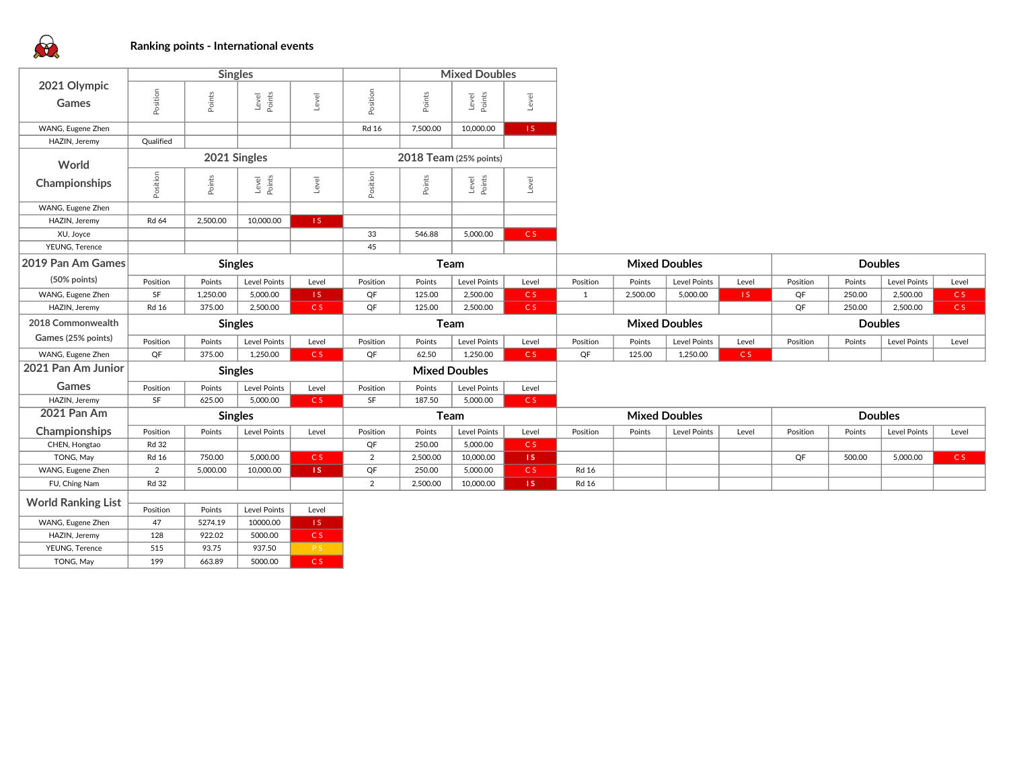

|                             | <b>Singles</b> |                 |                     |           |                        | <b>Mixed Doubles</b> |                      |                |                      |                      |              |       |                |                |                     |                |
|-----------------------------|----------------|-----------------|---------------------|-----------|------------------------|----------------------|----------------------|----------------|----------------------|----------------------|--------------|-------|----------------|----------------|---------------------|----------------|
| 2021 Olympic                |                |                 |                     |           |                        |                      |                      |                |                      |                      |              |       |                |                |                     |                |
| Games                       | Position       | Points          | Level<br>Points     | Level     | Position               | Points               | Level<br>Points      | Level          |                      |                      |              |       |                |                |                     |                |
| WANG, Eugene Zhen           |                |                 |                     |           | <b>Rd 16</b>           | 7,500.00             | 10,000.00            | 1S             |                      |                      |              |       |                |                |                     |                |
| HAZIN, Jeremy               | Qualified      |                 |                     |           |                        |                      |                      |                |                      |                      |              |       |                |                |                     |                |
| World                       | 2021 Singles   |                 |                     |           | 2018 Team (25% points) |                      |                      |                |                      |                      |              |       |                |                |                     |                |
| Championships               | Position       | Points          | Level<br>Points     | Level     | Position               | Points               | Level<br>Points      | Level          |                      |                      |              |       |                |                |                     |                |
| WANG, Eugene Zhen           |                |                 |                     |           |                        |                      |                      |                |                      |                      |              |       |                |                |                     |                |
| HAZIN, Jeremy               | Rd 64          | 2,500.00        | 10,000.00           | 1S        |                        |                      |                      |                |                      |                      |              |       |                |                |                     |                |
| XU, Joyce                   |                |                 |                     |           | 33                     | 546.88               | 5,000.00             | CS             |                      |                      |              |       |                |                |                     |                |
| YEUNG, Terence              |                |                 |                     |           | 45                     |                      |                      |                |                      |                      |              |       |                |                |                     |                |
| 2019 Pan Am Games           |                | <b>Singles</b>  |                     |           | Team                   |                      |                      |                | <b>Mixed Doubles</b> |                      |              |       | <b>Doubles</b> |                |                     |                |
| (50% points)                | Position       | Points          | Level Points        | Level     | Position               | Points               | Level Points         | Level          | Position             | Points               | Level Points | Level | Position       | Points         | Level Points        | Level          |
| WANG, Eugene Zhen           | SF             | 1,250.00        | 5,000.00            | IS.       | QF                     | 125.00               | 2,500.00             | C <sub>S</sub> | 1                    | 2,500.00             | 5,000.00     | 1S    | QF             | 250.00         | 2,500.00            | C <sub>S</sub> |
| HAZIN, Jeremy               | <b>Rd 16</b>   | 375.00          | 2,500.00            | C S       | QF                     | 125.00               | 2,500.00             | C <sub>S</sub> |                      |                      |              |       | QF             | 250.00         | 2,500.00            | C <sub>S</sub> |
|                             | <b>Singles</b> |                 |                     |           | Team                   |                      |                      |                | <b>Mixed Doubles</b> |                      |              |       | <b>Doubles</b> |                |                     |                |
| 2018 Commonwealth           |                |                 |                     |           |                        |                      |                      |                |                      |                      |              |       |                |                |                     |                |
| Games (25% points)          | Position       | Points          | <b>Level Points</b> | Level     | Position               | Points               | <b>Level Points</b>  | Level          | Position             | Points               | Level Points | Level | Position       | Points         | <b>Level Points</b> | Level          |
| WANG, Eugene Zhen           | QF             | 375.00          | 1,250.00            | CS        | QF                     | 62.50                | 1,250.00             | C <sub>S</sub> | QF                   | 125.00               | 1,250.00     | CS    |                |                |                     |                |
| 2021 Pan Am Junior          |                | <b>Singles</b>  |                     |           |                        |                      | <b>Mixed Doubles</b> |                |                      |                      |              |       |                |                |                     |                |
| Games                       | Position       | Points          | Level Points        | Level     | Position               | Points               | <b>Level Points</b>  | Level          |                      |                      |              |       |                |                |                     |                |
| HAZIN, Jeremy               | SF             | 625.00          | 5,000.00            | CS        | SF                     | 187.50               | 5,000.00             | CS             |                      |                      |              |       |                |                |                     |                |
| <b>2021 Pan Am</b>          |                | <b>Singles</b>  |                     |           |                        | Team                 |                      |                |                      | <b>Mixed Doubles</b> |              |       |                | <b>Doubles</b> |                     |                |
| Championships               | Position       | Points          | Level Points        | Level     | Position               | Points               | Level Points         | Level          | Position             | Points               | Level Points | Level | Position       | Points         | Level Points        | Level          |
| CHEN, Hongtao               | <b>Rd 32</b>   |                 |                     |           | QF                     | 250.00               | 5,000.00             | C S            |                      |                      |              |       |                |                |                     |                |
| TONG, May                   | <b>Rd 16</b>   | 750.00          | 5,000.00            | CS.       | $\overline{2}$         | 2,500.00             | 10,000.00            | 1S             |                      |                      |              |       | QF             | 500.00         | 5,000.00            | C <sub>S</sub> |
| WANG, Eugene Zhen           | $\overline{2}$ | 5,000.00        | 10,000.00           | 1S        | QF                     | 250.00               | 5,000.00             | C <sub>S</sub> | <b>Rd 16</b>         |                      |              |       |                |                |                     |                |
| FU, Ching Nam               | <b>Rd 32</b>   |                 |                     |           | $\overline{2}$         | 2,500.00             | 10,000.00            | 1S             | <b>Rd 16</b>         |                      |              |       |                |                |                     |                |
|                             |                |                 |                     |           |                        |                      |                      |                |                      |                      |              |       |                |                |                     |                |
| <b>World Ranking List</b>   | Position       | Points          | Level Points        | Level     |                        |                      |                      |                |                      |                      |              |       |                |                |                     |                |
| WANG, Eugene Zhen           | 47             | 5274.19         | 10000.00            | IS.       |                        |                      |                      |                |                      |                      |              |       |                |                |                     |                |
| HAZIN, Jeremy               | 128            | 922.02          | 5000.00             | C S       |                        |                      |                      |                |                      |                      |              |       |                |                |                     |                |
| YEUNG, Terence<br>TONG, May | 515<br>199     | 93.75<br>663.89 | 937.50<br>5000.00   | P S<br>CS |                        |                      |                      |                |                      |                      |              |       |                |                |                     |                |